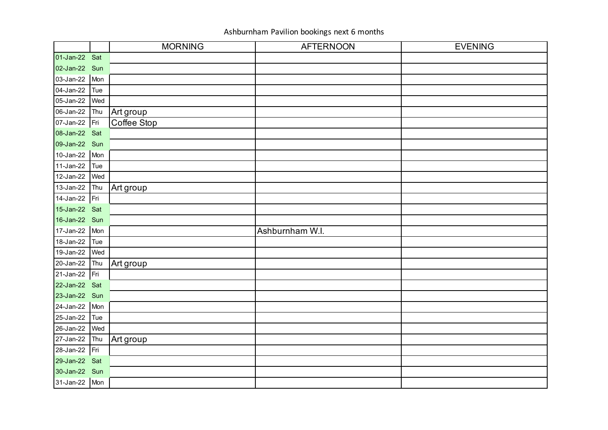|               |     | <b>MORNING</b> | <b>AFTERNOON</b> | <b>EVENING</b> |
|---------------|-----|----------------|------------------|----------------|
| 01-Jan-22 Sat |     |                |                  |                |
| 02-Jan-22 Sun |     |                |                  |                |
| 03-Jan-22 Mon |     |                |                  |                |
| 04-Jan-22     | Tue |                |                  |                |
| 05-Jan-22     | Wed |                |                  |                |
| 06-Jan-22     | Thu | Art group      |                  |                |
| 07-Jan-22 Fri |     | Coffee Stop    |                  |                |
| 08-Jan-22 Sat |     |                |                  |                |
| 09-Jan-22 Sun |     |                |                  |                |
| 10-Jan-22     | Mon |                |                  |                |
| $11-Jan-22$   | Tue |                |                  |                |
| 12-Jan-22     | Wed |                |                  |                |
| 13-Jan-22     | Thu | Art group      |                  |                |
| 14-Jan-22     | Fri |                |                  |                |
| 15-Jan-22 Sat |     |                |                  |                |
| 16-Jan-22 Sun |     |                |                  |                |
| 17-Jan-22     | Mon |                | Ashburnham W.I.  |                |
| 18-Jan-22     | Tue |                |                  |                |
| 19-Jan-22     | Wed |                |                  |                |
| 20-Jan-22     | Thu | Art group      |                  |                |
| 21-Jan-22 Fri |     |                |                  |                |
| 22-Jan-22 Sat |     |                |                  |                |
| 23-Jan-22 Sun |     |                |                  |                |
| 24-Jan-22 Mon |     |                |                  |                |
| 25-Jan-22     | Tue |                |                  |                |
| 26-Jan-22     | Wed |                |                  |                |
| 27-Jan-22     | Thu | Art group      |                  |                |
| 28-Jan-22 Fri |     |                |                  |                |
| 29-Jan-22 Sat |     |                |                  |                |
| 30-Jan-22 Sun |     |                |                  |                |
| 31-Jan-22 Mon |     |                |                  |                |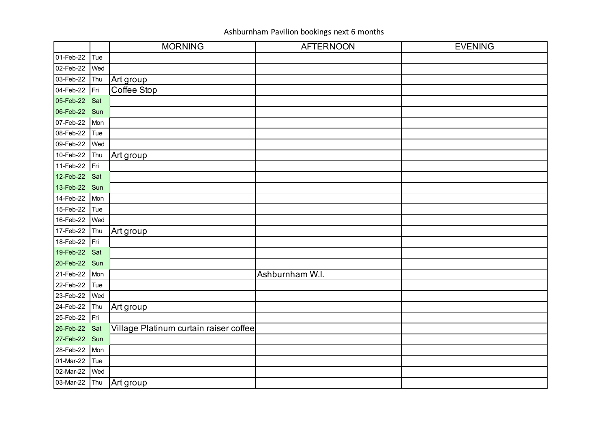|               |     | <b>MORNING</b>                         | <b>AFTERNOON</b> | <b>EVENING</b> |
|---------------|-----|----------------------------------------|------------------|----------------|
| 01-Feb-22     | Tue |                                        |                  |                |
| 02-Feb-22     | Wed |                                        |                  |                |
| 03-Feb-22     | Thu | Art group                              |                  |                |
| 04-Feb-22     | Fri | Coffee Stop                            |                  |                |
| 05-Feb-22 Sat |     |                                        |                  |                |
| 06-Feb-22 Sun |     |                                        |                  |                |
| 07-Feb-22     | Mon |                                        |                  |                |
| 08-Feb-22     | Tue |                                        |                  |                |
| 09-Feb-22     | Wed |                                        |                  |                |
| 10-Feb-22     | Thu | Art group                              |                  |                |
| 11-Feb-22     | Fri |                                        |                  |                |
| 12-Feb-22 Sat |     |                                        |                  |                |
| 13-Feb-22 Sun |     |                                        |                  |                |
| 14-Feb-22     | Mon |                                        |                  |                |
| 15-Feb-22     | Tue |                                        |                  |                |
| 16-Feb-22     | Wed |                                        |                  |                |
| 17-Feb-22     | Thu | Art group                              |                  |                |
| 18-Feb-22     | Fri |                                        |                  |                |
| 19-Feb-22 Sat |     |                                        |                  |                |
| 20-Feb-22 Sun |     |                                        |                  |                |
| 21-Feb-22     | Mon |                                        | Ashburnham W.I.  |                |
| 22-Feb-22     | Tue |                                        |                  |                |
| 23-Feb-22     | Wed |                                        |                  |                |
| 24-Feb-22     | Thu | Art group                              |                  |                |
| 25-Feb-22     | Fri |                                        |                  |                |
| 26-Feb-22     | Sat | Village Platinum curtain raiser coffee |                  |                |
| 27-Feb-22 Sun |     |                                        |                  |                |
| 28-Feb-22     | Mon |                                        |                  |                |
| 01-Mar-22     | Tue |                                        |                  |                |
| 02-Mar-22     | Wed |                                        |                  |                |
| 03-Mar-22     | Thu | Art group                              |                  |                |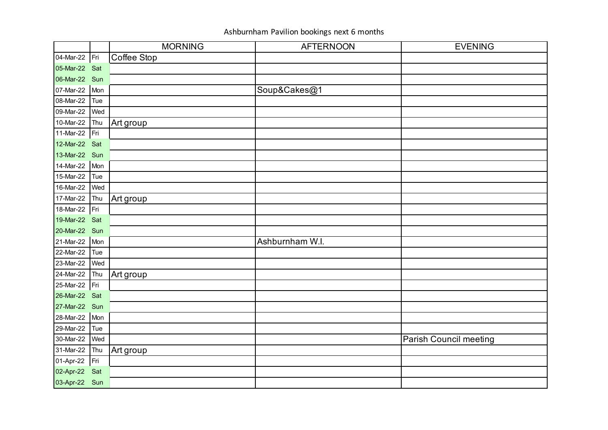|               |     | <b>MORNING</b> | <b>AFTERNOON</b> | <b>EVENING</b>                |
|---------------|-----|----------------|------------------|-------------------------------|
| 04-Mar-22 Fri |     | Coffee Stop    |                  |                               |
| 05-Mar-22 Sat |     |                |                  |                               |
| 06-Mar-22 Sun |     |                |                  |                               |
| 07-Mar-22     | Mon |                | Soup&Cakes@1     |                               |
| 08-Mar-22     | Tue |                |                  |                               |
| 09-Mar-22     | Wed |                |                  |                               |
| 10-Mar-22     | Thu | Art group      |                  |                               |
| 11-Mar-22     | Fri |                |                  |                               |
| 12-Mar-22 Sat |     |                |                  |                               |
| 13-Mar-22 Sun |     |                |                  |                               |
| 14-Mar-22     | Mon |                |                  |                               |
| 15-Mar-22     | Tue |                |                  |                               |
| 16-Mar-22     | Wed |                |                  |                               |
| 17-Mar-22     | Thu | Art group      |                  |                               |
| 18-Mar-22 Fri |     |                |                  |                               |
| 19-Mar-22 Sat |     |                |                  |                               |
| 20-Mar-22 Sun |     |                |                  |                               |
| 21-Mar-22     | Mon |                | Ashburnham W.I.  |                               |
| 22-Mar-22     | Tue |                |                  |                               |
| 23-Mar-22     | Wed |                |                  |                               |
| 24-Mar-22     | Thu | Art group      |                  |                               |
| 25-Mar-22     | Fri |                |                  |                               |
| 26-Mar-22 Sat |     |                |                  |                               |
| 27-Mar-22 Sun |     |                |                  |                               |
| 28-Mar-22     | Mon |                |                  |                               |
| 29-Mar-22     | Tue |                |                  |                               |
| 30-Mar-22     | Wed |                |                  | <b>Parish Council meeting</b> |
| 31-Mar-22     | Thu | Art group      |                  |                               |
| 01-Apr-22     | Fri |                |                  |                               |
| 02-Apr-22     | Sat |                |                  |                               |
| 03-Apr-22 Sun |     |                |                  |                               |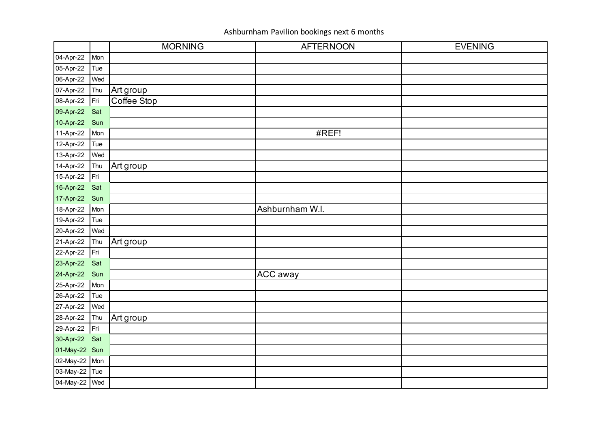|               |     | <b>MORNING</b> | <b>AFTERNOON</b> | <b>EVENING</b> |
|---------------|-----|----------------|------------------|----------------|
| 04-Apr-22     | Mon |                |                  |                |
| 05-Apr-22     | Tue |                |                  |                |
| 06-Apr-22     | Wed |                |                  |                |
| 07-Apr-22     | Thu | Art group      |                  |                |
| 08-Apr-22     | Fri | Coffee Stop    |                  |                |
| 09-Apr-22     | Sat |                |                  |                |
| 10-Apr-22     | Sun |                |                  |                |
| 11-Apr-22     | Mon |                | #REF!            |                |
| 12-Apr-22     | Tue |                |                  |                |
| 13-Apr-22     | Wed |                |                  |                |
| 14-Apr-22     | Thu | Art group      |                  |                |
| 15-Apr-22     | Fri |                |                  |                |
| 16-Apr-22 Sat |     |                |                  |                |
| 17-Apr-22 Sun |     |                |                  |                |
| 18-Apr-22     | Mon |                | Ashburnham W.I.  |                |
| 19-Apr-22     | Tue |                |                  |                |
| 20-Apr-22     | Wed |                |                  |                |
| 21-Apr-22     | Thu | Art group      |                  |                |
| 22-Apr-22     | Fri |                |                  |                |
| 23-Apr-22     | Sat |                |                  |                |
| 24-Apr-22     | Sun |                | <b>ACC</b> away  |                |
| 25-Apr-22     | Mon |                |                  |                |
| 26-Apr-22     | Tue |                |                  |                |
| 27-Apr-22     | Wed |                |                  |                |
| 28-Apr-22     | Thu | Art group      |                  |                |
| 29-Apr-22     | Fri |                |                  |                |
| 30-Apr-22     | Sat |                |                  |                |
| 01-May-22 Sun |     |                |                  |                |
| 02-May-22 Mon |     |                |                  |                |
| 03-May-22 Tue |     |                |                  |                |
| 04-May-22 Wed |     |                |                  |                |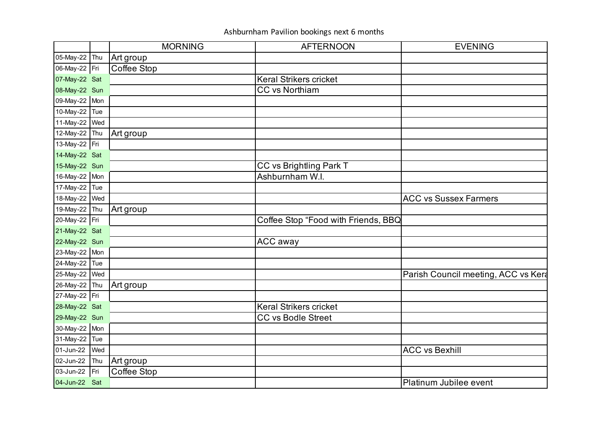|               |     | <b>MORNING</b> | <b>AFTERNOON</b>                    | <b>EVENING</b>                      |
|---------------|-----|----------------|-------------------------------------|-------------------------------------|
| 05-May-22 Thu |     | Art group      |                                     |                                     |
| 06-May-22 Fri |     | Coffee Stop    |                                     |                                     |
| 07-May-22 Sat |     |                | <b>Keral Strikers cricket</b>       |                                     |
| 08-May-22 Sun |     |                | <b>CC vs Northiam</b>               |                                     |
| 09-May-22 Mon |     |                |                                     |                                     |
| 10-May-22     | Tue |                |                                     |                                     |
| 11-May-22 Wed |     |                |                                     |                                     |
| 12-May-22 Thu |     | Art group      |                                     |                                     |
| 13-May-22 Fri |     |                |                                     |                                     |
| 14-May-22 Sat |     |                |                                     |                                     |
| 15-May-22 Sun |     |                | CC vs Brightling Park T             |                                     |
| 16-May-22 Mon |     |                | Ashburnham W.I.                     |                                     |
| 17-May-22 Tue |     |                |                                     |                                     |
| 18-May-22 Wed |     |                |                                     | <b>ACC vs Sussex Farmers</b>        |
| 19-May-22 Thu |     | Art group      |                                     |                                     |
| 20-May-22 Fri |     |                | Coffee Stop "Food with Friends, BBQ |                                     |
| 21-May-22 Sat |     |                |                                     |                                     |
| 22-May-22 Sun |     |                | <b>ACC away</b>                     |                                     |
| 23-May-22 Mon |     |                |                                     |                                     |
| 24-May-22 Tue |     |                |                                     |                                     |
| 25-May-22 Wed |     |                |                                     | Parish Council meeting, ACC vs Kera |
| 26-May-22 Thu |     | Art group      |                                     |                                     |
| 27-May-22 Fri |     |                |                                     |                                     |
| 28-May-22 Sat |     |                | <b>Keral Strikers cricket</b>       |                                     |
| 29-May-22 Sun |     |                | <b>CC vs Bodle Street</b>           |                                     |
| 30-May-22 Mon |     |                |                                     |                                     |
| 31-May-22     | Tue |                |                                     |                                     |
| 01-Jun-22     | Wed |                |                                     | <b>ACC vs Bexhill</b>               |
| 02-Jun-22     | Thu | Art group      |                                     |                                     |
| 03-Jun-22     | Fri | Coffee Stop    |                                     |                                     |
| 04-Jun-22 Sat |     |                |                                     | Platinum Jubilee event              |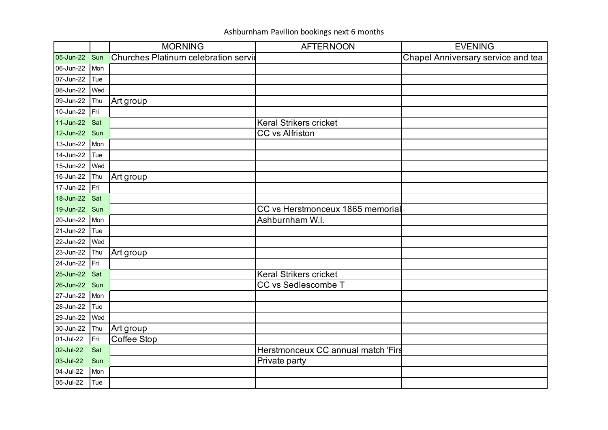|               |     | <b>MORNING</b>                       | <b>AFTERNOON</b>                    | <b>EVENING</b>                     |
|---------------|-----|--------------------------------------|-------------------------------------|------------------------------------|
| 05-Jun-22 Sun |     | Churches Platinum celebration servid |                                     | Chapel Anniversary service and tea |
| 06-Jun-22     | Mon |                                      |                                     |                                    |
| 07-Jun-22     | Tue |                                      |                                     |                                    |
| 08-Jun-22     | Wed |                                      |                                     |                                    |
| 09-Jun-22     | Thu | Art group                            |                                     |                                    |
| 10-Jun-22     | Fri |                                      |                                     |                                    |
| 11-Jun-22 Sat |     |                                      | <b>Keral Strikers cricket</b>       |                                    |
| 12-Jun-22 Sun |     |                                      | CC vs Alfriston                     |                                    |
| 13-Jun-22 Mon |     |                                      |                                     |                                    |
| 14-Jun-22     | Tue |                                      |                                     |                                    |
| 15-Jun-22     | Wed |                                      |                                     |                                    |
| 16-Jun-22     | Thu | Art group                            |                                     |                                    |
| 17-Jun-22     | Fri |                                      |                                     |                                    |
| 18-Jun-22 Sat |     |                                      |                                     |                                    |
| 19-Jun-22 Sun |     |                                      | CC vs Herstmonceux 1865 memorial    |                                    |
| 20-Jun-22     | Mon |                                      | Ashburnham W.I.                     |                                    |
| 21-Jun-22     | Tue |                                      |                                     |                                    |
| 22-Jun-22     | Wed |                                      |                                     |                                    |
| 23-Jun-22     | Thu | Art group                            |                                     |                                    |
| 24-Jun-22     | Fri |                                      |                                     |                                    |
| 25-Jun-22     | Sat |                                      | <b>Keral Strikers cricket</b>       |                                    |
| 26-Jun-22 Sun |     |                                      | <b>CC vs Sedlescombe T</b>          |                                    |
| 27-Jun-22     | Mon |                                      |                                     |                                    |
| 28-Jun-22     | Tue |                                      |                                     |                                    |
| 29-Jun-22     | Wed |                                      |                                     |                                    |
| 30-Jun-22     | Thu | Art group                            |                                     |                                    |
| 01-Jul-22     | Fri | Coffee Stop                          |                                     |                                    |
| 02-Jul-22     | Sat |                                      | Herstmonceux CC annual match 'First |                                    |
| 03-Jul-22     | Sun |                                      | Private party                       |                                    |
| 04-Jul-22     | Mon |                                      |                                     |                                    |
| 05-Jul-22     | Tue |                                      |                                     |                                    |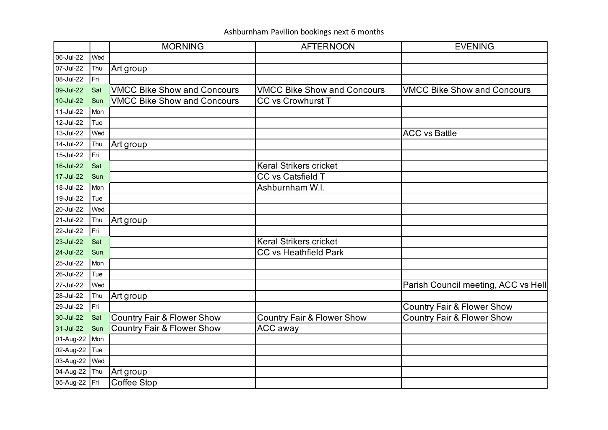|               |     | <b>MORNING</b>                        | <b>AFTERNOON</b>                      | <b>EVENING</b>                        |
|---------------|-----|---------------------------------------|---------------------------------------|---------------------------------------|
| 06-Jul-22     | Wed |                                       |                                       |                                       |
| 07-Jul-22     | Thu | Art group                             |                                       |                                       |
| 08-Jul-22     | Fri |                                       |                                       |                                       |
| 09-Jul-22     | Sat | <b>VMCC Bike Show and Concours</b>    | <b>VMCC Bike Show and Concours</b>    | <b>VMCC Bike Show and Concours</b>    |
| 10-Jul-22     | Sun | <b>VMCC Bike Show and Concours</b>    | <b>CC vs Crowhurst T</b>              |                                       |
| 11-Jul-22     | Mon |                                       |                                       |                                       |
| 12-Jul-22     | Tue |                                       |                                       |                                       |
| 13-Jul-22     | Wed |                                       |                                       | <b>ACC vs Battle</b>                  |
| 14-Jul-22     | Thu | Art group                             |                                       |                                       |
| 15-Jul-22     | Fri |                                       |                                       |                                       |
| 16-Jul-22     | Sat |                                       | <b>Keral Strikers cricket</b>         |                                       |
| 17-Jul-22     | Sun |                                       | CC vs Catsfield T                     |                                       |
| 18-Jul-22     | Mon |                                       | Ashburnham W.I.                       |                                       |
| 19-Jul-22     | Tue |                                       |                                       |                                       |
| 20-Jul-22     | Wed |                                       |                                       |                                       |
| 21-Jul-22     | Thu | Art group                             |                                       |                                       |
| 22-Jul-22     | Fri |                                       |                                       |                                       |
| 23-Jul-22     | Sat |                                       | <b>Keral Strikers cricket</b>         |                                       |
| 24-Jul-22     | Sun |                                       | <b>CC vs Heathfield Park</b>          |                                       |
| 25-Jul-22     | Mon |                                       |                                       |                                       |
| 26-Jul-22     | Tue |                                       |                                       |                                       |
| 27-Jul-22     | Wed |                                       |                                       | Parish Council meeting, ACC vs Hell   |
| 28-Jul-22     | Thu | Art group                             |                                       |                                       |
| 29-Jul-22     | Fri |                                       |                                       | <b>Country Fair &amp; Flower Show</b> |
| 30-Jul-22     | Sat | <b>Country Fair &amp; Flower Show</b> | <b>Country Fair &amp; Flower Show</b> | <b>Country Fair &amp; Flower Show</b> |
| 31-Jul-22     | Sun | <b>Country Fair &amp; Flower Show</b> | ACC away                              |                                       |
| 01-Aug-22     | Mon |                                       |                                       |                                       |
| 02-Aug-22     | Tue |                                       |                                       |                                       |
| 03-Aug-22     | Wed |                                       |                                       |                                       |
| 04-Aug-22     | Thu | Art group                             |                                       |                                       |
| 05-Aug-22 Fri |     | Coffee Stop                           |                                       |                                       |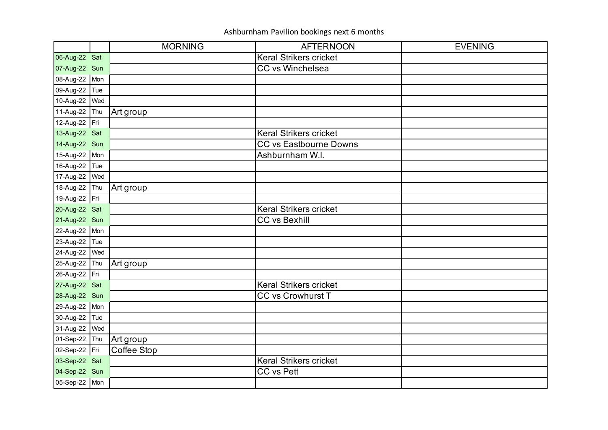|               |     | <b>MORNING</b> | <b>AFTERNOON</b>              | <b>EVENING</b> |
|---------------|-----|----------------|-------------------------------|----------------|
| 06-Aug-22 Sat |     |                | <b>Keral Strikers cricket</b> |                |
| 07-Aug-22 Sun |     |                | <b>CC vs Winchelsea</b>       |                |
| 08-Aug-22 Mon |     |                |                               |                |
| 09-Aug-22     | Tue |                |                               |                |
| 10-Aug-22     | Wed |                |                               |                |
| 11-Aug-22     | Thu | Art group      |                               |                |
| 12-Aug-22 Fri |     |                |                               |                |
| 13-Aug-22 Sat |     |                | <b>Keral Strikers cricket</b> |                |
| 14-Aug-22 Sun |     |                | <b>CC vs Eastbourne Downs</b> |                |
| 15-Aug-22 Mon |     |                | Ashburnham W.I.               |                |
| 16-Aug-22     | Tue |                |                               |                |
| 17-Aug-22     | Wed |                |                               |                |
| 18-Aug-22     | Thu | Art group      |                               |                |
| 19-Aug-22 Fri |     |                |                               |                |
| 20-Aug-22 Sat |     |                | <b>Keral Strikers cricket</b> |                |
| 21-Aug-22 Sun |     |                | <b>CC vs Bexhill</b>          |                |
| 22-Aug-22 Mon |     |                |                               |                |
| 23-Aug-22     | Tue |                |                               |                |
| 24-Aug-22     | Wed |                |                               |                |
| 25-Aug-22 Thu |     | Art group      |                               |                |
| 26-Aug-22 Fri |     |                |                               |                |
| 27-Aug-22 Sat |     |                | <b>Keral Strikers cricket</b> |                |
| 28-Aug-22 Sun |     |                | <b>CC vs Crowhurst T</b>      |                |
| 29-Aug-22 Mon |     |                |                               |                |
| 30-Aug-22     | Tue |                |                               |                |
| 31-Aug-22     | Wed |                |                               |                |
| 01-Sep-22     | Thu | Art group      |                               |                |
| 02-Sep-22 Fri |     | Coffee Stop    |                               |                |
| 03-Sep-22 Sat |     |                | <b>Keral Strikers cricket</b> |                |
| 04-Sep-22 Sun |     |                | <b>CC vs Pett</b>             |                |
| 05-Sep-22 Mon |     |                |                               |                |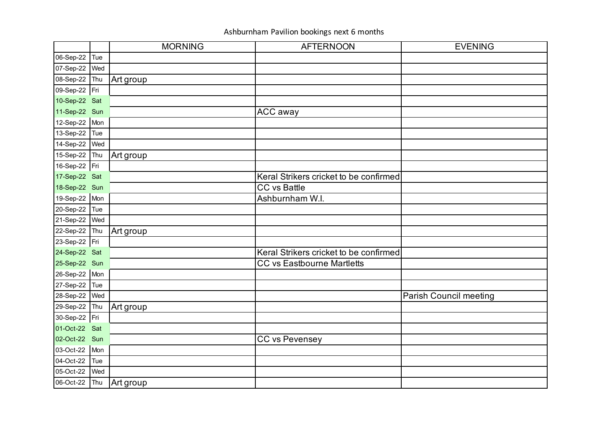|               |     | <b>MORNING</b> | <b>AFTERNOON</b>                       | <b>EVENING</b>                |
|---------------|-----|----------------|----------------------------------------|-------------------------------|
| 06-Sep-22 Tue |     |                |                                        |                               |
| 07-Sep-22     | Wed |                |                                        |                               |
| 08-Sep-22     | Thu | Art group      |                                        |                               |
| 09-Sep-22 Fri |     |                |                                        |                               |
| 10-Sep-22 Sat |     |                |                                        |                               |
| 11-Sep-22 Sun |     |                | <b>ACC away</b>                        |                               |
| 12-Sep-22 Mon |     |                |                                        |                               |
| 13-Sep-22     | Tue |                |                                        |                               |
| 14-Sep-22     | Wed |                |                                        |                               |
| 15-Sep-22 Thu |     | Art group      |                                        |                               |
| 16-Sep-22 Fri |     |                |                                        |                               |
| 17-Sep-22 Sat |     |                | Keral Strikers cricket to be confirmed |                               |
| 18-Sep-22 Sun |     |                | <b>CC</b> vs Battle                    |                               |
| 19-Sep-22 Mon |     |                | Ashburnham W.I.                        |                               |
| 20-Sep-22     | Tue |                |                                        |                               |
| 21-Sep-22     | Wed |                |                                        |                               |
| 22-Sep-22 Thu |     | Art group      |                                        |                               |
| 23-Sep-22 Fri |     |                |                                        |                               |
| 24-Sep-22 Sat |     |                | Keral Strikers cricket to be confirmed |                               |
| 25-Sep-22 Sun |     |                | <b>CC vs Eastbourne Martletts</b>      |                               |
| 26-Sep-22 Mon |     |                |                                        |                               |
| 27-Sep-22     | Tue |                |                                        |                               |
| 28-Sep-22     | Wed |                |                                        | <b>Parish Council meeting</b> |
| 29-Sep-22     | Thu | Art group      |                                        |                               |
| 30-Sep-22 Fri |     |                |                                        |                               |
| 01-Oct-22 Sat |     |                |                                        |                               |
| 02-Oct-22 Sun |     |                | CC vs Pevensey                         |                               |
| 03-Oct-22     | Mon |                |                                        |                               |
| 04-Oct-22     | Tue |                |                                        |                               |
| 05-Oct-22     | Wed |                |                                        |                               |
| 06-Oct-22     | Thu | Art group      |                                        |                               |